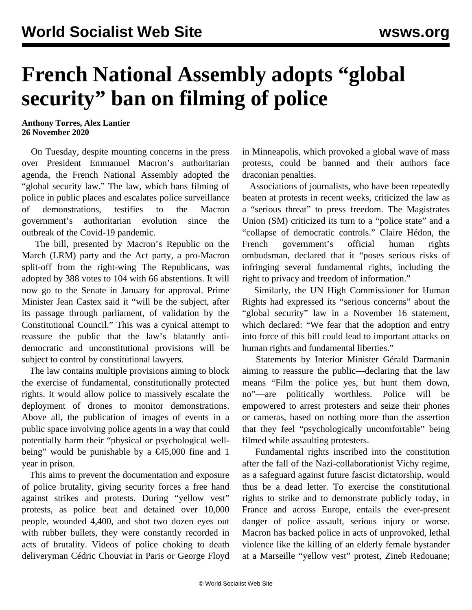## **French National Assembly adopts "global security" ban on filming of police**

**Anthony Torres, Alex Lantier 26 November 2020**

 On Tuesday, despite mounting concerns in the press over President Emmanuel Macron's authoritarian agenda, the French National Assembly adopted the "global security law." The law, which bans filming of police in public places and escalates police surveillance of demonstrations, testifies to the Macron government's authoritarian evolution since the outbreak of the Covid-19 pandemic.

 The bill, presented by Macron's Republic on the March (LRM) party and the Act party, a pro-Macron split-off from the right-wing The Republicans, was adopted by 388 votes to 104 with 66 abstentions. It will now go to the Senate in January for approval. Prime Minister Jean Castex said it "will be the subject, after its passage through parliament, of validation by the Constitutional Council." This was a cynical attempt to reassure the public that the law's blatantly antidemocratic and unconstitutional provisions will be subject to control by constitutional lawyers.

 The law contains multiple provisions aiming to block the exercise of fundamental, constitutionally protected rights. It would allow police to massively escalate the deployment of drones to monitor demonstrations. Above all, the publication of images of events in a public space involving police agents in a way that could potentially harm their "physical or psychological wellbeing" would be punishable by a  $\epsilon$ 45,000 fine and 1 year in prison.

 This aims to prevent the documentation and exposure of police brutality, giving security forces a free hand against strikes and protests. During "yellow vest" protests, as police beat and detained over 10,000 people, wounded 4,400, and shot two dozen eyes out with rubber bullets, they were constantly recorded in acts of brutality. Videos of police choking to death deliveryman Cédric Chouviat in Paris or George Floyd in Minneapolis, which provoked a global wave of mass protests, could be banned and their authors face draconian penalties.

 Associations of journalists, who have been repeatedly beaten at protests in recent weeks, criticized the law as a "serious threat" to press freedom. The Magistrates Union (SM) criticized its turn to a "police state" and a "collapse of democratic controls." Claire Hédon, the French government's official human rights ombudsman, declared that it "poses serious risks of infringing several fundamental rights, including the right to privacy and freedom of information."

 Similarly, the UN High Commissioner for Human Rights had expressed its "serious concerns" about the "global security" law in a November 16 statement, which declared: "We fear that the adoption and entry into force of this bill could lead to important attacks on human rights and fundamental liberties."

 Statements by Interior Minister Gérald Darmanin aiming to reassure the public—declaring that the law means "Film the police yes, but hunt them down, no"—are politically worthless. Police will be empowered to arrest protesters and seize their phones or cameras, based on nothing more than the assertion that they feel "psychologically uncomfortable" being filmed while assaulting protesters.

 Fundamental rights inscribed into the constitution after the fall of the Nazi-collaborationist Vichy regime, as a safeguard against future fascist dictatorship, would thus be a dead letter. To exercise the constitutional rights to strike and to demonstrate publicly today, in France and across Europe, entails the ever-present danger of police assault, serious injury or worse. Macron has backed police in acts of unprovoked, lethal violence like the killing of an elderly female bystander at a Marseille "yellow vest" protest, Zineb Redouane;